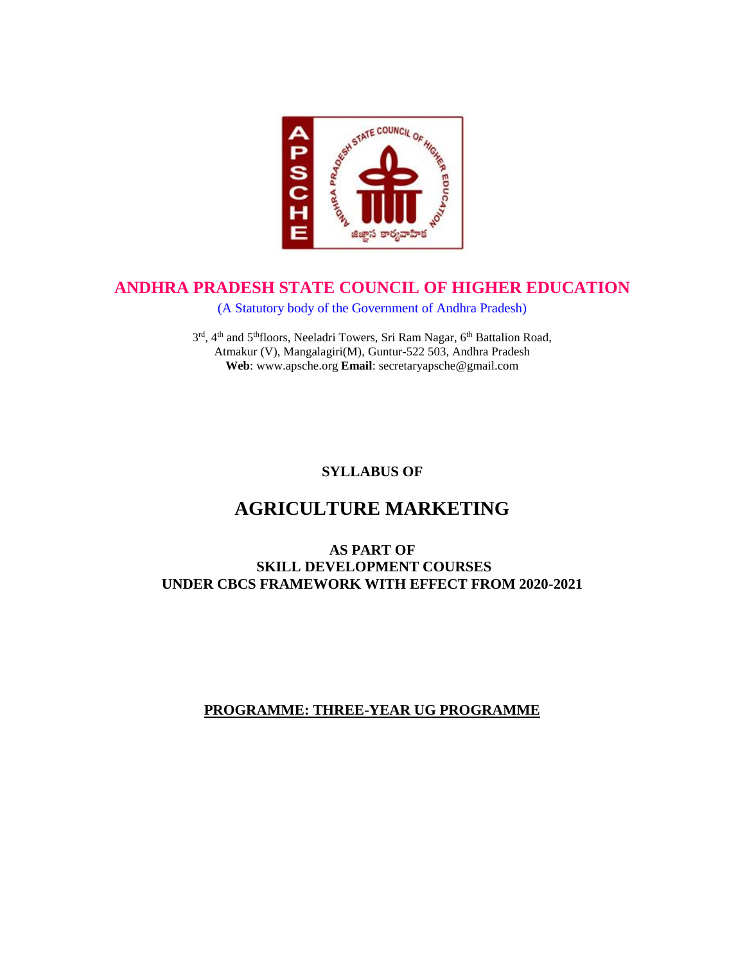

## **ANDHRA PRADESH STATE COUNCIL OF HIGHER EDUCATION**

(A Statutory body of the Government of Andhra Pradesh)

3rd, 4<sup>th</sup> and 5<sup>th</sup>floors, Neeladri Towers, Sri Ram Nagar, 6<sup>th</sup> Battalion Road, Atmakur (V), Mangalagiri(M), Guntur-522 503, Andhra Pradesh **Web**: www.apsche.org **Email**: secretaryapsche@gmail.com

**SYLLABUS OF**

# **AGRICULTURE MARKETING**

#### **AS PART OF SKILL DEVELOPMENT COURSES UNDER CBCS FRAMEWORK WITH EFFECT FROM 2020-2021**

### **PROGRAMME: THREE-YEAR UG PROGRAMME**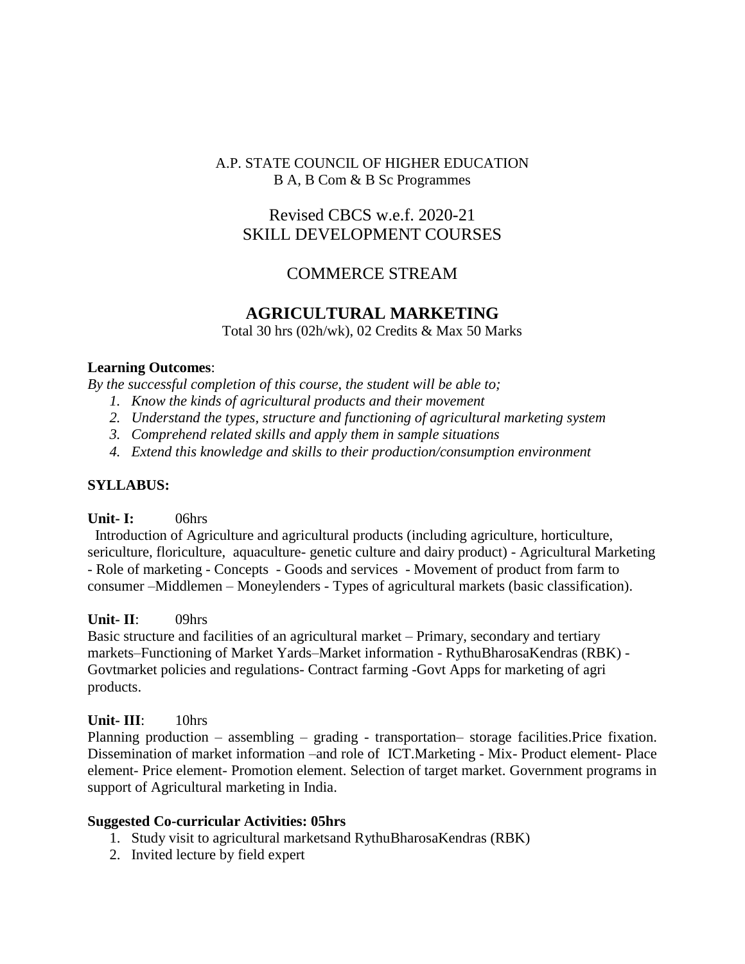### A.P. STATE COUNCIL OF HIGHER EDUCATION B A, B Com & B Sc Programmes

## Revised CBCS w.e.f. 2020-21 SKILL DEVELOPMENT COURSES

## COMMERCE STREAM

## **AGRICULTURAL MARKETING**

Total 30 hrs (02h/wk), 02 Credits & Max 50 Marks

### **Learning Outcomes**:

*By the successful completion of this course, the student will be able to;* 

- *1. Know the kinds of agricultural products and their movement*
- *2. Understand the types, structure and functioning of agricultural marketing system*
- *3. Comprehend related skills and apply them in sample situations*
- *4. Extend this knowledge and skills to their production/consumption environment*

### **SYLLABUS:**

### **Unit- I:** 06hrs

 Introduction of Agriculture and agricultural products (including agriculture, horticulture, sericulture, floriculture, aquaculture- genetic culture and dairy product) - Agricultural Marketing - Role of marketing - Concepts - Goods and services - Movement of product from farm to consumer –Middlemen – Moneylenders - Types of agricultural markets (basic classification).

### **Unit- II**: 09hrs

Basic structure and facilities of an agricultural market – Primary, secondary and tertiary markets–Functioning of Market Yards–Market information - RythuBharosaKendras (RBK) - Govtmarket policies and regulations- Contract farming -Govt Apps for marketing of agri products.

### **Unit- III**: 10hrs

Planning production – assembling – grading - transportation– storage facilities.Price fixation. Dissemination of market information –and role of ICT.Marketing - Mix- Product element- Place element- Price element- Promotion element. Selection of target market. Government programs in support of Agricultural marketing in India.

### **Suggested Co-curricular Activities: 05hrs**

- 1. Study visit to agricultural marketsand RythuBharosaKendras (RBK)
- 2. Invited lecture by field expert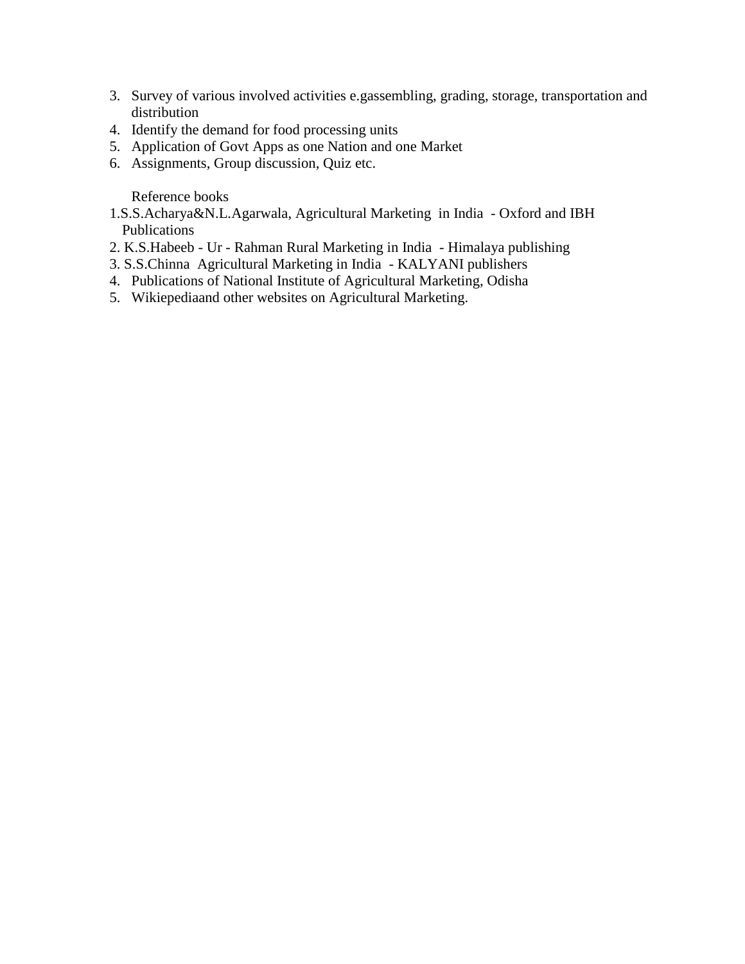- 3. Survey of various involved activities e.gassembling, grading, storage, transportation and distribution
- 4. Identify the demand for food processing units
- 5. Application of Govt Apps as one Nation and one Market
- 6. Assignments, Group discussion, Quiz etc.

Reference books

- 1.S.S.Acharya&N.L.Agarwala, Agricultural Marketing in India Oxford and IBH Publications
- 2. K.S.Habeeb Ur Rahman Rural Marketing in India Himalaya publishing
- 3. S.S.Chinna Agricultural Marketing in India KALYANI publishers
- 4. Publications of National Institute of Agricultural Marketing, Odisha
- 5. Wikiepediaand other websites on Agricultural Marketing.